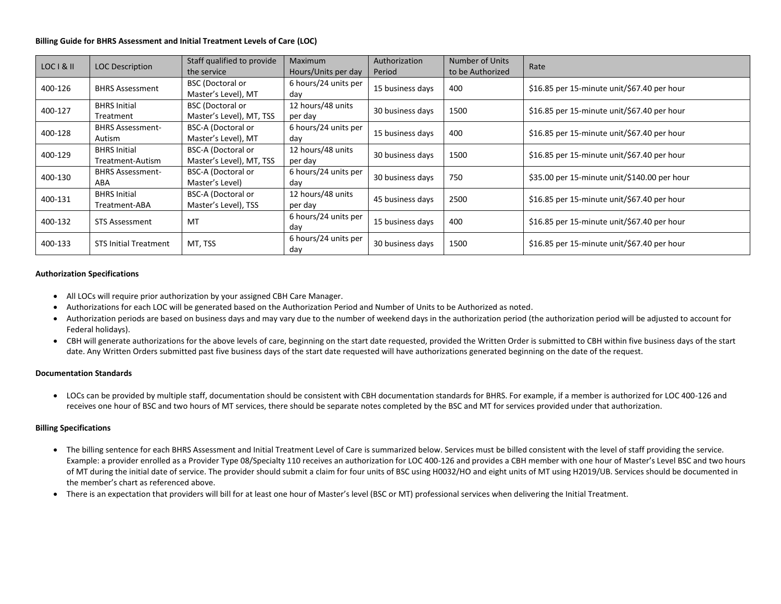#### **Billing Guide for BHRS Assessment and Initial Treatment Levels of Care (LOC)**

| LOC I & II | <b>LOC Description</b>                  | Staff qualified to provide<br>the service             | <b>Maximum</b><br>Hours/Units per day | Authorization<br>Period | <b>Number of Units</b><br>to be Authorized | Rate                                         |
|------------|-----------------------------------------|-------------------------------------------------------|---------------------------------------|-------------------------|--------------------------------------------|----------------------------------------------|
| 400-126    | <b>BHRS Assessment</b>                  | <b>BSC</b> (Doctoral or<br>Master's Level), MT        | 6 hours/24 units per<br>day           | 15 business days        | 400                                        | \$16.85 per 15-minute unit/\$67.40 per hour  |
| 400-127    | <b>BHRS Initial</b><br>Treatment        | <b>BSC</b> (Doctoral or<br>Master's Level), MT, TSS   | 12 hours/48 units<br>per day          | 30 business days        | 1500                                       | \$16.85 per 15-minute unit/\$67.40 per hour  |
| 400-128    | <b>BHRS Assessment-</b><br>Autism       | <b>BSC-A (Doctoral or</b><br>Master's Level), MT      | 6 hours/24 units per<br>day           | 15 business days        | 400                                        | \$16.85 per 15-minute unit/\$67.40 per hour  |
| 400-129    | <b>BHRS Initial</b><br>Treatment-Autism | <b>BSC-A (Doctoral or</b><br>Master's Level), MT, TSS | 12 hours/48 units<br>per day          | 30 business days        | 1500                                       | \$16.85 per 15-minute unit/\$67.40 per hour  |
| 400-130    | <b>BHRS Assessment-</b><br>ABA          | <b>BSC-A (Doctoral or</b><br>Master's Level)          | 6 hours/24 units per<br>day           | 30 business days        | 750                                        | \$35.00 per 15-minute unit/\$140.00 per hour |
| 400-131    | <b>BHRS Initial</b><br>Treatment-ABA    | <b>BSC-A (Doctoral or</b><br>Master's Level), TSS     | 12 hours/48 units<br>per day          | 45 business days        | 2500                                       | \$16.85 per 15-minute unit/\$67.40 per hour  |
| 400-132    | <b>STS Assessment</b>                   | MT                                                    | 6 hours/24 units per<br>day           | 15 business days        | 400                                        | \$16.85 per 15-minute unit/\$67.40 per hour  |
| 400-133    | <b>STS Initial Treatment</b>            | MT, TSS                                               | 6 hours/24 units per<br>day           | 30 business days        | 1500                                       | \$16.85 per 15-minute unit/\$67.40 per hour  |

#### **Authorization Specifications**

- All LOCs will require prior authorization by your assigned CBH Care Manager.
- Authorizations for each LOC will be generated based on the Authorization Period and Number of Units to be Authorized as noted.
- Authorization periods are based on business days and may vary due to the number of weekend days in the authorization period (the authorization period will be adjusted to account for Federal holidays).
- CBH will generate authorizations for the above levels of care, beginning on the start date requested, provided the Written Order is submitted to CBH within five business days of the start date. Any Written Orders submitted past five business days of the start date requested will have authorizations generated beginning on the date of the request.

#### **Documentation Standards**

• LOCs can be provided by multiple staff, documentation should be consistent with CBH documentation standards for BHRS. For example, if a member is authorized for LOC 400-126 and receives one hour of BSC and two hours of MT services, there should be separate notes completed by the BSC and MT for services provided under that authorization.

#### **Billing Specifications**

- The billing sentence for each BHRS Assessment and Initial Treatment Level of Care is summarized below. Services must be billed consistent with the level of staff providing the service. Example: a provider enrolled as a Provider Type 08/Specialty 110 receives an authorization for LOC 400-126 and provides a CBH member with one hour of Master's Level BSC and two hours of MT during the initial date of service. The provider should submit a claim for four units of BSC using H0032/HO and eight units of MT using H2019/UB. Services should be documented in the member's chart as referenced above.
- There is an expectation that providers will bill for at least one hour of Master's level (BSC or MT) professional services when delivering the Initial Treatment.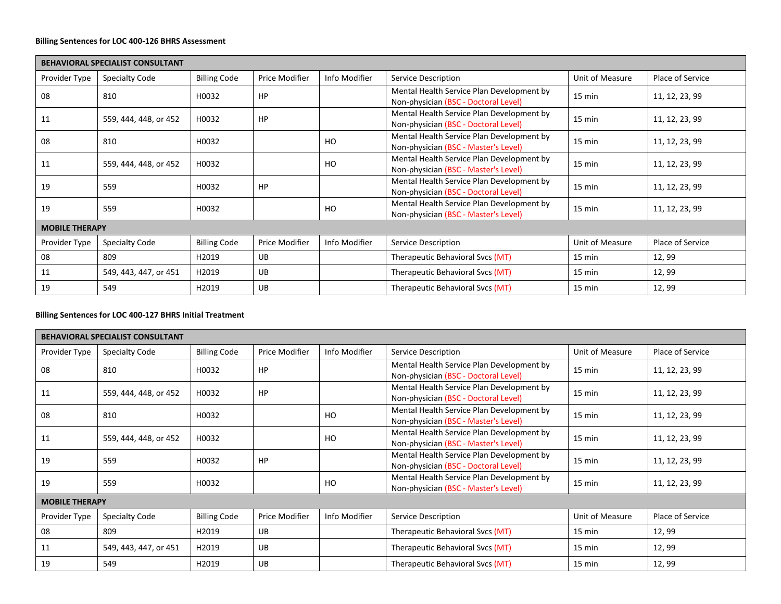## **Billing Sentences for LOC 400-126 BHRS Assessment**

|                       | BEHAVIORAL SPECIALIST CONSULTANT |                     |                |               |                                                                                   |                  |                  |  |  |  |
|-----------------------|----------------------------------|---------------------|----------------|---------------|-----------------------------------------------------------------------------------|------------------|------------------|--|--|--|
| Provider Type         | Specialty Code                   | <b>Billing Code</b> | Price Modifier | Info Modifier | Service Description                                                               | Unit of Measure  | Place of Service |  |  |  |
| 08                    | 810                              | H0032               | HP             |               | Mental Health Service Plan Development by<br>Non-physician (BSC - Doctoral Level) | $15 \text{ min}$ | 11, 12, 23, 99   |  |  |  |
| 11                    | 559, 444, 448, or 452            | H0032               | HP             |               | Mental Health Service Plan Development by<br>Non-physician (BSC - Doctoral Level) | $15 \text{ min}$ | 11, 12, 23, 99   |  |  |  |
| 08                    | 810                              | H0032               |                | HO            | Mental Health Service Plan Development by<br>Non-physician (BSC - Master's Level) | $15 \text{ min}$ | 11, 12, 23, 99   |  |  |  |
| 11                    | 559, 444, 448, or 452            | H0032               |                | HO            | Mental Health Service Plan Development by<br>Non-physician (BSC - Master's Level) | $15 \text{ min}$ | 11, 12, 23, 99   |  |  |  |
| 19                    | 559                              | H0032               | HP             |               | Mental Health Service Plan Development by<br>Non-physician (BSC - Doctoral Level) | $15 \text{ min}$ | 11, 12, 23, 99   |  |  |  |
| 19                    | 559                              | H0032               |                | HO            | Mental Health Service Plan Development by<br>Non-physician (BSC - Master's Level) | $15 \text{ min}$ | 11, 12, 23, 99   |  |  |  |
| <b>MOBILE THERAPY</b> |                                  |                     |                |               |                                                                                   |                  |                  |  |  |  |
| Provider Type         | Specialty Code                   | <b>Billing Code</b> | Price Modifier | Info Modifier | Service Description                                                               | Unit of Measure  | Place of Service |  |  |  |
| 08                    | 809                              | H2019               | <b>UB</b>      |               | Therapeutic Behavioral Svcs (MT)                                                  | 15 min           | 12,99            |  |  |  |
| 11                    | 549, 443, 447, or 451            | H2019               | <b>UB</b>      |               | Therapeutic Behavioral Svcs (MT)                                                  | 15 min           | 12,99            |  |  |  |
| 19                    | 549                              | H2019               | <b>UB</b>      |               | Therapeutic Behavioral Svcs (MT)                                                  | $15 \text{ min}$ | 12,99            |  |  |  |

# **Billing Sentences for LOC 400-127 BHRS Initial Treatment**

|                       | <b>BEHAVIORAL SPECIALIST CONSULTANT</b> |                     |                |               |                                                                                   |                  |                  |  |  |  |  |
|-----------------------|-----------------------------------------|---------------------|----------------|---------------|-----------------------------------------------------------------------------------|------------------|------------------|--|--|--|--|
| Provider Type         | <b>Specialty Code</b>                   | <b>Billing Code</b> | Price Modifier | Info Modifier | Service Description                                                               | Unit of Measure  | Place of Service |  |  |  |  |
| 08                    | 810                                     | H0032               | HP             |               | Mental Health Service Plan Development by<br>Non-physician (BSC - Doctoral Level) | $15 \text{ min}$ | 11, 12, 23, 99   |  |  |  |  |
| 11                    | 559, 444, 448, or 452                   | H0032               | HP             |               | Mental Health Service Plan Development by<br>Non-physician (BSC - Doctoral Level) | $15 \text{ min}$ | 11, 12, 23, 99   |  |  |  |  |
| 08                    | 810                                     | H0032               |                | HO            | Mental Health Service Plan Development by<br>Non-physician (BSC - Master's Level) | $15 \text{ min}$ | 11, 12, 23, 99   |  |  |  |  |
| 11                    | 559, 444, 448, or 452                   | H0032               |                | HO            | Mental Health Service Plan Development by<br>Non-physician (BSC - Master's Level) | $15 \text{ min}$ | 11, 12, 23, 99   |  |  |  |  |
| 19                    | 559                                     | H0032               | HP             |               | Mental Health Service Plan Development by<br>Non-physician (BSC - Doctoral Level) | $15 \text{ min}$ | 11, 12, 23, 99   |  |  |  |  |
| 19                    | 559                                     | H0032               |                | HO            | Mental Health Service Plan Development by<br>Non-physician (BSC - Master's Level) | $15 \text{ min}$ | 11, 12, 23, 99   |  |  |  |  |
| <b>MOBILE THERAPY</b> |                                         |                     |                |               |                                                                                   |                  |                  |  |  |  |  |
| Provider Type         | <b>Specialty Code</b>                   | <b>Billing Code</b> | Price Modifier | Info Modifier | Service Description                                                               | Unit of Measure  | Place of Service |  |  |  |  |
| 08                    | 809                                     | H2019               | <b>UB</b>      |               | Therapeutic Behavioral Svcs (MT)                                                  | 15 min           | 12, 99           |  |  |  |  |
| 11                    | 549, 443, 447, or 451                   | H2019               | <b>UB</b>      |               | Therapeutic Behavioral Svcs (MT)                                                  | 15 min           | 12,99            |  |  |  |  |
| 19                    | 549                                     | H2019               | <b>UB</b>      |               | Therapeutic Behavioral Svcs (MT)                                                  | 15 min           | 12,99            |  |  |  |  |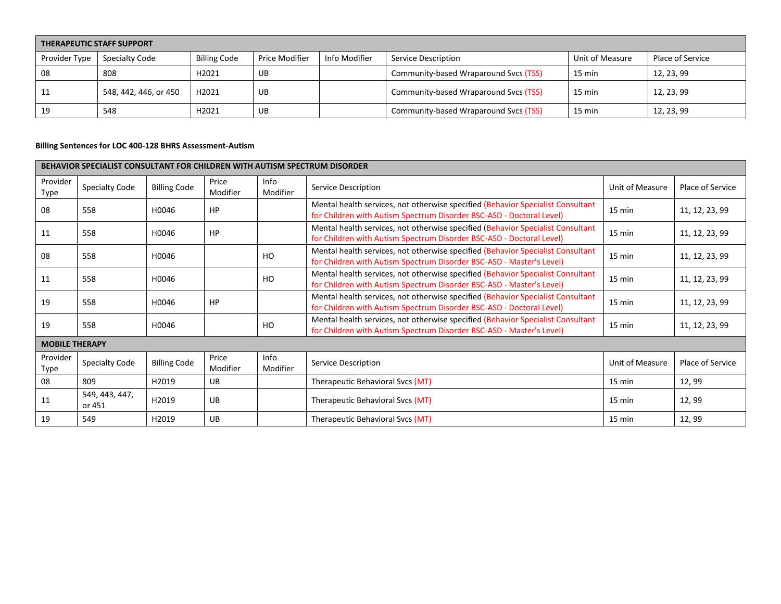| <b>THERAPEUTIC STAFF SUPPORT</b> |                       |                     |                |               |                                       |                  |                  |  |  |
|----------------------------------|-----------------------|---------------------|----------------|---------------|---------------------------------------|------------------|------------------|--|--|
| Provider Type                    | Specialty Code        | <b>Billing Code</b> | Price Modifier | Info Modifier | Service Description                   | Unit of Measure  | Place of Service |  |  |
| 08                               | 808                   | H2021               | UB             |               | Community-based Wraparound Svcs (TSS) | 15 min           | 12, 23, 99       |  |  |
| 11                               | 548, 442, 446, or 450 | H2021               | UB             |               | Community-based Wraparound Svcs (TSS) | $15 \text{ min}$ | 12, 23, 99       |  |  |
| 19                               | 548                   | H2021               | UB             |               | Community-based Wraparound Svcs (TSS) | 15 min           | 12, 23, 99       |  |  |

# **Billing Sentences for LOC 400-128 BHRS Assessment-Autism**

|                       | <b>BEHAVIOR SPECIALIST CONSULTANT FOR CHILDREN WITH AUTISM SPECTRUM DISORDER</b> |                     |                   |                  |                                                                                                                                                         |                 |                  |  |  |  |  |
|-----------------------|----------------------------------------------------------------------------------|---------------------|-------------------|------------------|---------------------------------------------------------------------------------------------------------------------------------------------------------|-----------------|------------------|--|--|--|--|
| Provider<br>Type      | <b>Specialty Code</b>                                                            | <b>Billing Code</b> | Price<br>Modifier | Info<br>Modifier | Service Description                                                                                                                                     | Unit of Measure | Place of Service |  |  |  |  |
| 08                    | 558                                                                              | H0046               | <b>HP</b>         |                  | Mental health services, not otherwise specified (Behavior Specialist Consultant<br>for Children with Autism Spectrum Disorder BSC-ASD - Doctoral Level) | 15 min          | 11, 12, 23, 99   |  |  |  |  |
| 11                    | 558                                                                              | H0046               | <b>HP</b>         |                  | Mental health services, not otherwise specified (Behavior Specialist Consultant<br>for Children with Autism Spectrum Disorder BSC-ASD - Doctoral Level) | 15 min          | 11, 12, 23, 99   |  |  |  |  |
| 08                    | 558                                                                              | H0046               |                   | HO               | Mental health services, not otherwise specified (Behavior Specialist Consultant<br>for Children with Autism Spectrum Disorder BSC-ASD - Master's Level) | 15 min          | 11, 12, 23, 99   |  |  |  |  |
| 11                    | 558                                                                              | H0046               |                   | HO               | Mental health services, not otherwise specified (Behavior Specialist Consultant<br>for Children with Autism Spectrum Disorder BSC-ASD - Master's Level) | 15 min          | 11, 12, 23, 99   |  |  |  |  |
| 19                    | 558                                                                              | H0046               | <b>HP</b>         |                  | Mental health services, not otherwise specified (Behavior Specialist Consultant<br>for Children with Autism Spectrum Disorder BSC-ASD - Doctoral Level) | 15 min          | 11, 12, 23, 99   |  |  |  |  |
| 19                    | 558                                                                              | H0046               |                   | HO               | Mental health services, not otherwise specified (Behavior Specialist Consultant<br>for Children with Autism Spectrum Disorder BSC-ASD - Master's Level) | 15 min          | 11, 12, 23, 99   |  |  |  |  |
| <b>MOBILE THERAPY</b> |                                                                                  |                     |                   |                  |                                                                                                                                                         |                 |                  |  |  |  |  |
| Provider<br>Type      | <b>Specialty Code</b>                                                            | <b>Billing Code</b> | Price<br>Modifier | Info<br>Modifier | Service Description                                                                                                                                     | Unit of Measure | Place of Service |  |  |  |  |
| 08                    | 809                                                                              | H2019               | UB                |                  | Therapeutic Behavioral Svcs (MT)                                                                                                                        | 15 min          | 12,99            |  |  |  |  |
| 11                    | 549, 443, 447,<br>or 451                                                         | H2019               | <b>UB</b>         |                  | Therapeutic Behavioral Svcs (MT)                                                                                                                        | 15 min          | 12, 99           |  |  |  |  |
| 19                    | 549                                                                              | H2019               | <b>UB</b>         |                  | Therapeutic Behavioral Svcs (MT)                                                                                                                        | 15 min          | 12, 99           |  |  |  |  |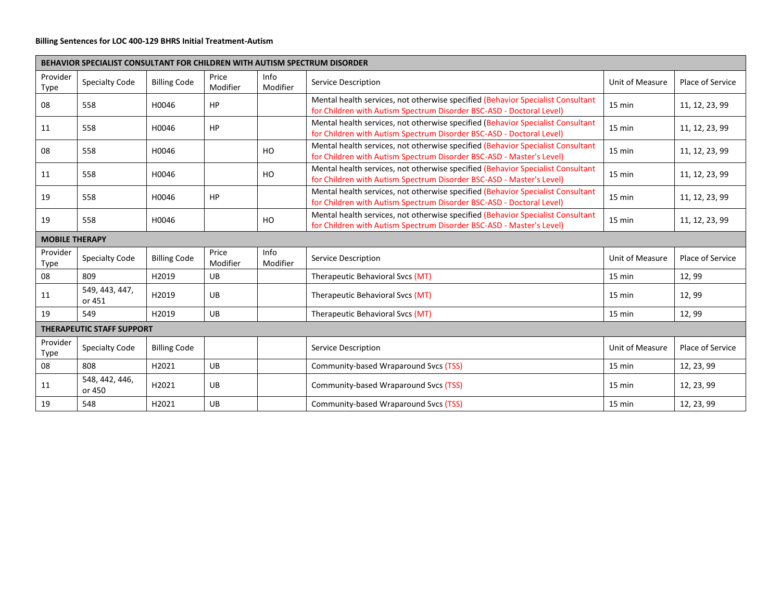## **Billing Sentences for LOC 400-129 BHRS Initial Treatment-Autism**

|                       | <b>BEHAVIOR SPECIALIST CONSULTANT FOR CHILDREN WITH AUTISM SPECTRUM DISORDER</b> |                     |                   |                  |                                                                                                                                                         |                  |                  |  |  |  |  |
|-----------------------|----------------------------------------------------------------------------------|---------------------|-------------------|------------------|---------------------------------------------------------------------------------------------------------------------------------------------------------|------------------|------------------|--|--|--|--|
| Provider<br>Type      | <b>Specialty Code</b>                                                            | <b>Billing Code</b> | Price<br>Modifier | Info<br>Modifier | Service Description                                                                                                                                     | Unit of Measure  | Place of Service |  |  |  |  |
| 08                    | 558                                                                              | H0046               | <b>HP</b>         |                  | Mental health services, not otherwise specified (Behavior Specialist Consultant<br>for Children with Autism Spectrum Disorder BSC-ASD - Doctoral Level) | 15 min           | 11, 12, 23, 99   |  |  |  |  |
| 11                    | 558                                                                              | H0046               | HP                |                  | Mental health services, not otherwise specified (Behavior Specialist Consultant<br>for Children with Autism Spectrum Disorder BSC-ASD - Doctoral Level) | $15 \text{ min}$ | 11, 12, 23, 99   |  |  |  |  |
| 08                    | 558                                                                              | H0046               |                   | HO               | Mental health services, not otherwise specified (Behavior Specialist Consultant<br>for Children with Autism Spectrum Disorder BSC-ASD - Master's Level) | 15 min           | 11, 12, 23, 99   |  |  |  |  |
| 11                    | 558                                                                              | H0046               |                   | HO               | Mental health services, not otherwise specified (Behavior Specialist Consultant<br>for Children with Autism Spectrum Disorder BSC-ASD - Master's Level) | 15 min           | 11, 12, 23, 99   |  |  |  |  |
| 19                    | 558                                                                              | H0046               | HP                |                  | Mental health services, not otherwise specified (Behavior Specialist Consultant<br>for Children with Autism Spectrum Disorder BSC-ASD - Doctoral Level) | $15 \text{ min}$ | 11, 12, 23, 99   |  |  |  |  |
| 19                    | 558                                                                              | H0046               |                   | HO               | Mental health services, not otherwise specified (Behavior Specialist Consultant<br>for Children with Autism Spectrum Disorder BSC-ASD - Master's Level) | 15 min           | 11, 12, 23, 99   |  |  |  |  |
| <b>MOBILE THERAPY</b> |                                                                                  |                     |                   |                  |                                                                                                                                                         |                  |                  |  |  |  |  |
| Provider<br>Type      | Specialty Code                                                                   | <b>Billing Code</b> | Price<br>Modifier | Info<br>Modifier | Service Description                                                                                                                                     | Unit of Measure  | Place of Service |  |  |  |  |
| 08                    | 809                                                                              | H2019               | <b>UB</b>         |                  | Therapeutic Behavioral Svcs (MT)                                                                                                                        | 15 min           | 12,99            |  |  |  |  |
| 11                    | 549, 443, 447,<br>or 451                                                         | H2019               | <b>UB</b>         |                  | Therapeutic Behavioral Svcs (MT)                                                                                                                        | 15 min           | 12,99            |  |  |  |  |
| 19                    | 549                                                                              | H2019               | <b>UB</b>         |                  | Therapeutic Behavioral Svcs (MT)                                                                                                                        | 15 min           | 12,99            |  |  |  |  |
|                       | <b>THERAPEUTIC STAFF SUPPORT</b>                                                 |                     |                   |                  |                                                                                                                                                         |                  |                  |  |  |  |  |
| Provider<br>Type      | <b>Specialty Code</b>                                                            | <b>Billing Code</b> |                   |                  | Service Description                                                                                                                                     | Unit of Measure  | Place of Service |  |  |  |  |
| 08                    | 808                                                                              | H2021               | <b>UB</b>         |                  | Community-based Wraparound Svcs (TSS)                                                                                                                   | 15 min           | 12, 23, 99       |  |  |  |  |
| 11                    | 548, 442, 446,<br>or 450                                                         | H2021               | <b>UB</b>         |                  | Community-based Wraparound Svcs (TSS)                                                                                                                   | 15 min           | 12, 23, 99       |  |  |  |  |
| 19                    | 548                                                                              | H2021               | <b>UB</b>         |                  | Community-based Wraparound Svcs (TSS)                                                                                                                   | 15 min           | 12, 23, 99       |  |  |  |  |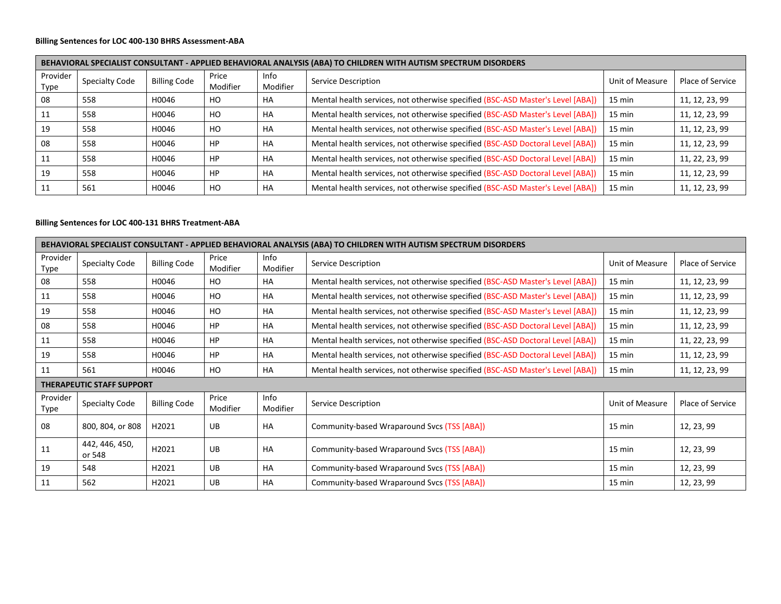# **Billing Sentences for LOC 400-130 BHRS Assessment-ABA**

|                  | BEHAVIORAL SPECIALIST CONSULTANT - APPLIED BEHAVIORAL ANALYSIS (ABA) TO CHILDREN WITH AUTISM SPECTRUM DISORDERS |                     |                   |                  |                                                                                |                  |                  |  |  |  |  |
|------------------|-----------------------------------------------------------------------------------------------------------------|---------------------|-------------------|------------------|--------------------------------------------------------------------------------|------------------|------------------|--|--|--|--|
| Provider<br>Type | <b>Specialty Code</b>                                                                                           | <b>Billing Code</b> | Price<br>Modifier | Info<br>Modifier | Service Description                                                            | Unit of Measure  | Place of Service |  |  |  |  |
| 08               | 558                                                                                                             | H0046               | H <sub>O</sub>    | HA               | Mental health services, not otherwise specified (BSC-ASD Master's Level [ABA]) | $15 \text{ min}$ | 11, 12, 23, 99   |  |  |  |  |
| 11               | 558                                                                                                             | H0046               | HO                | HA               | Mental health services, not otherwise specified (BSC-ASD Master's Level [ABA]) | $15 \text{ min}$ | 11, 12, 23, 99   |  |  |  |  |
| 19               | 558                                                                                                             | H0046               | H <sub>O</sub>    | HA               | Mental health services, not otherwise specified (BSC-ASD Master's Level [ABA]) | $15 \text{ min}$ | 11, 12, 23, 99   |  |  |  |  |
| 08               | 558                                                                                                             | H0046               | HP                | HA               | Mental health services, not otherwise specified (BSC-ASD Doctoral Level [ABA]) | $15 \text{ min}$ | 11, 12, 23, 99   |  |  |  |  |
| 11               | 558                                                                                                             | H0046               | HP                | HA               | Mental health services, not otherwise specified (BSC-ASD Doctoral Level [ABA]) | $15 \text{ min}$ | 11, 22, 23, 99   |  |  |  |  |
| 19               | 558                                                                                                             | H0046               | HP                | HA               | Mental health services, not otherwise specified (BSC-ASD Doctoral Level [ABA]) | $15 \text{ min}$ | 11, 12, 23, 99   |  |  |  |  |
|                  | 561                                                                                                             | H0046               | H <sub>O</sub>    | HA               | Mental health services, not otherwise specified (BSC-ASD Master's Level [ABA]) | $15 \text{ min}$ | 11, 12, 23, 99   |  |  |  |  |

#### **Billing Sentences for LOC 400-131 BHRS Treatment-ABA**

|                  | BEHAVIORAL SPECIALIST CONSULTANT - APPLIED BEHAVIORAL ANALYSIS (ABA) TO CHILDREN WITH AUTISM SPECTRUM DISORDERS |                     |                   |                  |                                                                                |                 |                  |  |  |  |  |
|------------------|-----------------------------------------------------------------------------------------------------------------|---------------------|-------------------|------------------|--------------------------------------------------------------------------------|-----------------|------------------|--|--|--|--|
| Provider<br>Type | <b>Specialty Code</b>                                                                                           | <b>Billing Code</b> | Price<br>Modifier | Info<br>Modifier | Service Description                                                            | Unit of Measure | Place of Service |  |  |  |  |
| 08               | 558                                                                                                             | H0046               | HO                | HA               | Mental health services, not otherwise specified (BSC-ASD Master's Level [ABA]) | 15 min          | 11, 12, 23, 99   |  |  |  |  |
| 11               | 558                                                                                                             | H0046               | HO                | HA               | Mental health services, not otherwise specified (BSC-ASD Master's Level [ABA]) | 15 min          | 11, 12, 23, 99   |  |  |  |  |
| 19               | 558                                                                                                             | H0046               | HO                | <b>HA</b>        | Mental health services, not otherwise specified (BSC-ASD Master's Level [ABA]) | 15 min          | 11, 12, 23, 99   |  |  |  |  |
| 08               | 558                                                                                                             | H0046               | <b>HP</b>         | HA               | Mental health services, not otherwise specified (BSC-ASD Doctoral Level [ABA]) | 15 min          | 11, 12, 23, 99   |  |  |  |  |
| 11               | 558                                                                                                             | H0046               | <b>HP</b>         | <b>HA</b>        | Mental health services, not otherwise specified (BSC-ASD Doctoral Level [ABA]) | 15 min          | 11, 22, 23, 99   |  |  |  |  |
| 19               | 558                                                                                                             | H0046               | HP                | <b>HA</b>        | Mental health services, not otherwise specified (BSC-ASD Doctoral Level [ABA]) | 15 min          | 11, 12, 23, 99   |  |  |  |  |
| 11               | 561                                                                                                             | H0046               | HO                | HA               | Mental health services, not otherwise specified (BSC-ASD Master's Level [ABA]) | 15 min          | 11, 12, 23, 99   |  |  |  |  |
|                  | THERAPEUTIC STAFF SUPPORT                                                                                       |                     |                   |                  |                                                                                |                 |                  |  |  |  |  |
| Provider<br>Type | <b>Specialty Code</b>                                                                                           | <b>Billing Code</b> | Price<br>Modifier | Info<br>Modifier | Service Description                                                            | Unit of Measure | Place of Service |  |  |  |  |
| 08               | 800, 804, or 808                                                                                                | H2021               | UB                | <b>HA</b>        | Community-based Wraparound Svcs (TSS [ABA])                                    | 15 min          | 12, 23, 99       |  |  |  |  |
| 11               | 442, 446, 450,<br>or 548                                                                                        | H2021               | UB                | <b>HA</b>        | Community-based Wraparound Svcs (TSS [ABA])                                    | 15 min          | 12, 23, 99       |  |  |  |  |
| 19               | 548                                                                                                             | H2021               | UB                | <b>HA</b>        | Community-based Wraparound Svcs (TSS [ABA])                                    | 15 min          | 12, 23, 99       |  |  |  |  |
| 11               | 562                                                                                                             | H2021               | UB                | <b>HA</b>        | Community-based Wraparound Svcs (TSS [ABA])                                    | 15 min          | 12, 23, 99       |  |  |  |  |